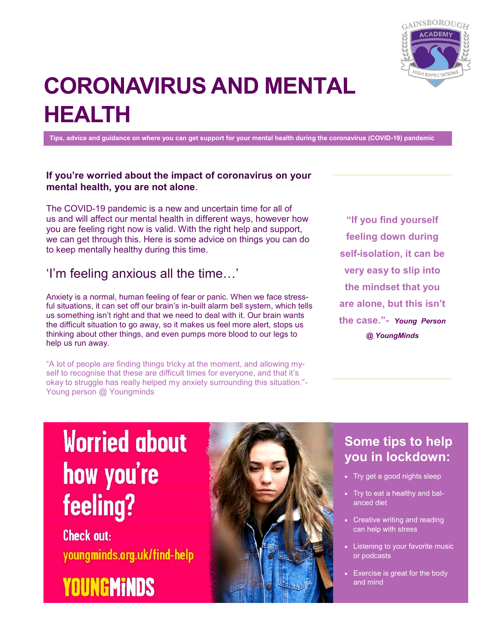

# **CORONAVIRUS AND MENTAL HEALTH**

**Tips, advice and guidance on where you can get support for your mental health during the coronavirus (COVID-19) pandemic** 

### **If you're worried about the impact of coronavirus on your mental health, you are not alone**.

The COVID-19 pandemic is a new and uncertain time for all of us and will affect our mental health in different ways, however how you are feeling right now is valid. With the right help and support, we can get through this. Here is some advice on things you can do to keep mentally healthy during this time.

### 'I'm feeling anxious all the time…'

Anxiety is a normal, human feeling of fear or panic. When we face stressful situations, it can set off our brain's in-built alarm bell system, which tells us something isn't right and that we need to deal with it. Our brain wants the difficult situation to go away, so it makes us feel more alert, stops us thinking about other things, and even pumps more blood to our legs to help us run away.

"A lot of people are finding things tricky at the moment, and allowing myself to recognise that these are difficult times for everyone, and that it's okay to struggle has really helped my anxiety surrounding this situation."- Young person @ Youngminds

**"If you find yourself feeling down during self-isolation, it can be very easy to slip into the mindset that you are alone, but this isn't the case."***- Young Person @ YoungMinds*

# **Worried about** how you're feeling?

**Check out:** youngminds.org.uk/find-help





### **Some tips to help you in lockdown:**

- Try get a good nights sleep
- Try to eat a healthy and balanced diet
- Creative writing and reading can help with stress
- Listening to your favorite music or podcasts
- Exercise is great for the body and mind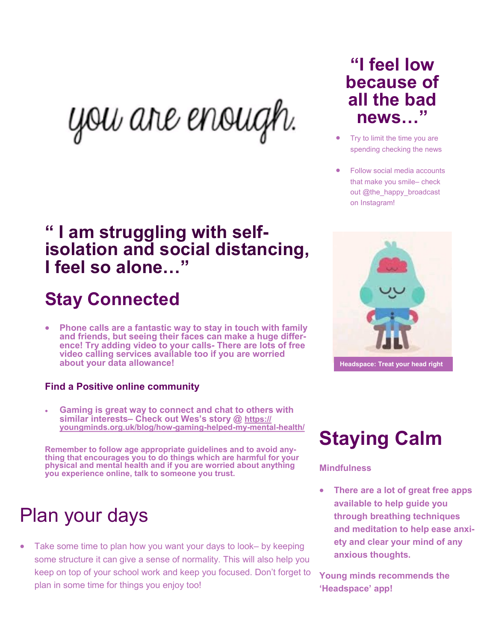you are enough.

### **" I am struggling with selfisolation and social distancing, I feel so alone…"**

# **Stay Connected**

 **Phone calls are a fantastic way to stay in touch with family and friends, but seeing their faces can make a huge difference! Try adding video to your calls- There are lots of free video calling services available too if you are worried about your data allowance!** 

### **Find a Positive online community**

 **Gaming is great way to connect and chat to others with similar interests– Check out Wes's story @ [https://](https://youngminds.org.uk/blog/how-gaming-helped-my-mental-health/) [youngminds.org.uk/blog/how](https://youngminds.org.uk/blog/how-gaming-helped-my-mental-health/)-gaming-helped-my-mental-health/**

**Remember to follow age appropriate guidelines and to avoid anything that encourages you to do things which are harmful for your physical and mental health and if you are worried about anything you experience online, talk to someone you trust.**

# Plan your days

 Take some time to plan how you want your days to look– by keeping some structure it can give a sense of normality. This will also help you keep on top of your school work and keep you focused. Don't forget to plan in some time for things you enjoy too!

## **"I feel low because of all the bad news…"**

- Try to limit the time you are spending checking the news
- Follow social media accounts that make you smile– check out @the\_happy\_broadcast on Instagram!



**Headspace: Treat your head right**

# **Staying Calm**

### **Mindfulness**

 **There are a lot of great free apps available to help guide you through breathing techniques and meditation to help ease anxiety and clear your mind of any anxious thoughts.** 

**Young minds recommends the 'Headspace' app!**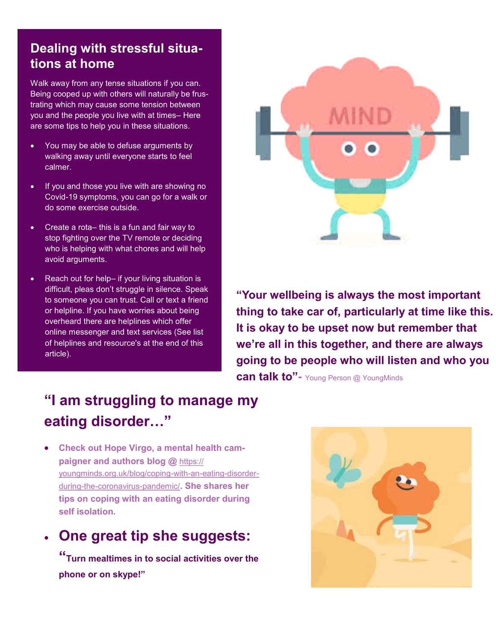### **Dealing with stressful situations at home**

Walk away from any tense situations if you can. Being cooped up with others will naturally be frustrating which may cause some tension between you and the people you live with at times– Here are some tips to help you in these situations.

- You may be able to defuse arguments by walking away until everyone starts to feel calmer.
- If you and those you live with are showing no Covid-19 symptoms, you can go for a walk or do some exercise outside.
- Create a rota– this is a fun and fair way to stop fighting over the TV remote or deciding who is helping with what chores and will help avoid arguments.
- Reach out for help- if your living situation is difficult, pleas don't struggle in silence. Speak to someone you can trust. Call or text a friend or helpline. If you have worries about being overheard there are helplines which offer online messenger and text services (See list of helplines and resource's at the end of this article).



**"Your wellbeing is always the most important thing to take car of, particularly at time like this. It is okay to be upset now but remember that we're all in this together, and there are always going to be people who will listen and who you can talk to"-** Young Person @ YoungMinds

### **"I am struggling to manage my eating disorder…"**

 **Check out Hope Virgo, a mental health campaigner and authors blog @** [https://](https://youngminds.org.uk/blog/coping-with-an-eating-disorder-during-the-coronavirus-pandemic/) [youngminds.org.uk/blog/coping](https://youngminds.org.uk/blog/coping-with-an-eating-disorder-during-the-coronavirus-pandemic/)-with-an-eating-disorderduring-the-[coronavirus](https://youngminds.org.uk/blog/coping-with-an-eating-disorder-during-the-coronavirus-pandemic/)-pandemic/**. She shares her tips on coping with an eating disorder during self isolation.** 

### **One great tip she suggests:**

**"Turn mealtimes in to social activities over the phone or on skype!"**

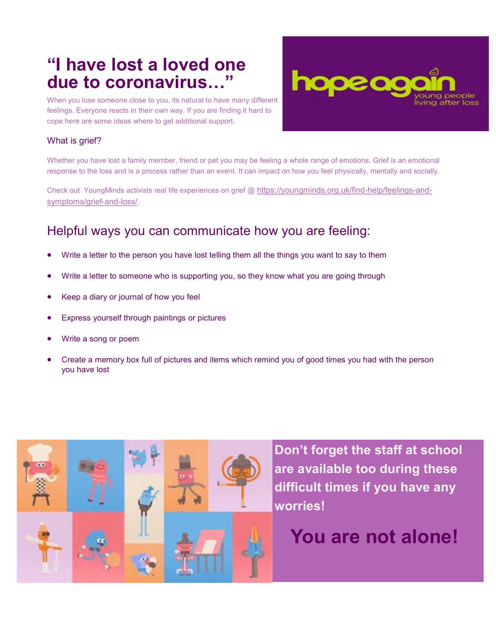## **"I have lost a loved one due to coronavirus…"**

When you lose someone close to you, its natural to have many different feelings. Everyone reacts in their own way. If you are finding it hard to cope here are some ideas where to get additional support.



#### What is grief?

Whether you have lost a family member, friend or pet you may be feeling a whole range of emotions. Grief is an emotional response to the loss and is a process rather than an event. It can impact on how you feel physically, mentally and socially.

Check out YoungMinds activists real life experiences on grief @ [https://youngminds.org.uk/find](https://youngminds.org.uk/find-help/feelings-and-symptoms/grief-and-loss/)-help/feelings-and[symptoms/grief](https://youngminds.org.uk/find-help/feelings-and-symptoms/grief-and-loss/)-and-loss/.

### Helpful ways you can communicate how you are feeling:

- Write a letter to the person you have lost telling them all the things you want to say to them
- Write a letter to someone who is supporting you, so they know what you are going through
- Keep a diary or journal of how you feel
- Express yourself through paintings or pictures
- Write a song or poem
- Create a memory box full of pictures and items which remind you of good times you had with the person you have lost



**Don't forget the staff at school are available too during these difficult times if you have any worries!** 

# **You are not alone!**